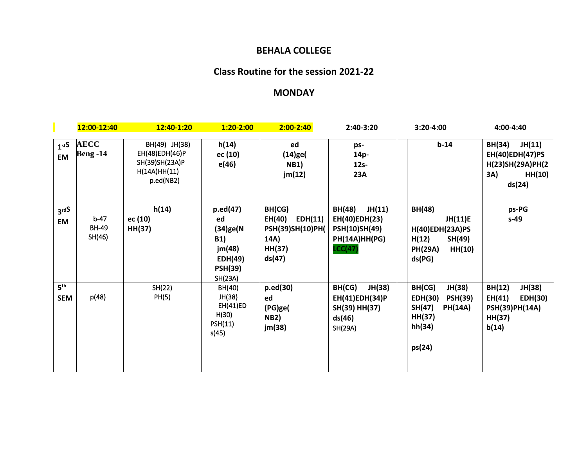## **BEHALA COLLEGE**

# **Class Routine for the session 2021-22**

## **MONDAY**

|                                | 12:00-12:40                      | 12:40-1:20                                                                     | $1:20-2:00$                                                                                      | $2:00 - 2:40$                                                               | 2:40-3:20                                                                                    | $3:20 - 4:00$                                                                                           | 4:00-4:40                                                                                        |
|--------------------------------|----------------------------------|--------------------------------------------------------------------------------|--------------------------------------------------------------------------------------------------|-----------------------------------------------------------------------------|----------------------------------------------------------------------------------------------|---------------------------------------------------------------------------------------------------------|--------------------------------------------------------------------------------------------------|
| 1 <sub>st</sub> S<br><b>EM</b> | <b>AECC</b><br><b>Beng -14</b>   | BH(49) JH(38)<br>EH(48)EDH(46)P<br>SH(39)SH(23A)P<br>H(14A)HH(11)<br>p.ed(NB2) | h(14)<br>ec (10)<br>e(46)                                                                        | ed<br>$(14)$ ge $($<br><b>NB1)</b><br>jm(12)                                | ps-<br>14p-<br>$12s-$<br><b>23A</b>                                                          | $b-14$                                                                                                  | JH(11)<br><b>BH(34)</b><br><b>EH(40)EDH(47)PS</b><br>H(23)SH(29A)PH(2<br>3A)<br>HH(10)<br>ds(24) |
| 3 <sup>rdS</sup><br><b>EM</b>  | $b-47$<br><b>BH-49</b><br>SH(46) | h(14)<br>ec (10)<br>HH(37)                                                     | $p.$ ed $(47)$<br>ed<br>(34)ge(N<br><b>B1)</b><br>jm(48)<br>EDH(49)<br><b>PSH(39)</b><br>SH(23A) | BH(CG)<br>EDH(11)<br>EH(40)<br>PSH(39)SH(10)PH(<br>14A)<br>HH(37)<br>ds(47) | <b>BH(48)</b><br>JH(11)<br>EH(40)EDH(23)<br><b>PSH(10)SH(49)</b><br>PH(14A)HH(PG)<br>LCC(47) | BH(48)<br>JH(11)E<br><b>H(40)EDH(23A)PS</b><br>H(12)<br>SH(49)<br><b>PH(29A)</b><br>HH(10)<br>ds(PG)    | ps-PG<br>$s-49$                                                                                  |
| 5 <sup>th</sup><br><b>SEM</b>  | p(48)                            | SH(22)<br>PH(5)                                                                | BH(40)<br>JH(38)<br><b>EH(41)ED</b><br>H(30)<br>PSH(11)<br>s(45)                                 | p.ed(30)<br>ed<br>(PG)ge(<br><b>NB2)</b><br>jm(38)                          | BH(CG)<br>JH(38)<br>EH(41)EDH(34)P<br>SH(39) HH(37)<br>ds(46)<br>SH(29A)                     | BH(CG)<br>JH(38)<br><b>PSH(39)</b><br>EDH(30)<br>SH(47)<br><b>PH(14A)</b><br>HH(37)<br>hh(34)<br>ps(24) | BH(12)<br>JH(38)<br>EDH(30)<br>EH(41)<br><b>PSH(39)PH(14A)</b><br>HH(37)<br>b(14)                |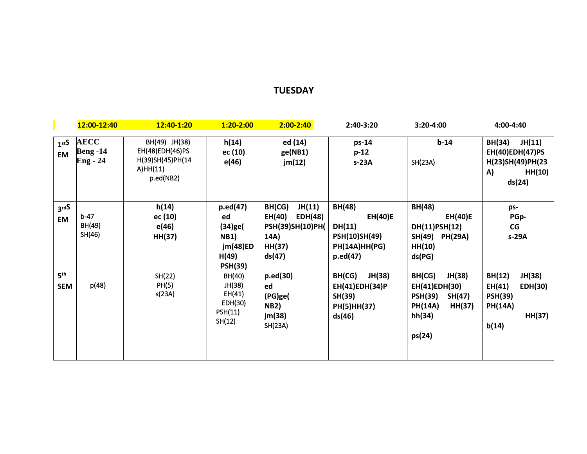#### **TUESDAY**

|                                | 12:00-12:40                                       | 12:40-1:20                                                                    | $1:20 - 2:00$                                                                         | $2:00 - 2:40$                                                                         | 2:40-3:20                                                                                            | 3:20-4:00                                                                                                     | $4:00 - 4:40$                                                                                |
|--------------------------------|---------------------------------------------------|-------------------------------------------------------------------------------|---------------------------------------------------------------------------------------|---------------------------------------------------------------------------------------|------------------------------------------------------------------------------------------------------|---------------------------------------------------------------------------------------------------------------|----------------------------------------------------------------------------------------------|
| 1 <sub>st</sub> S<br><b>EM</b> | <b>AECC</b><br><b>Beng -14</b><br><b>Eng - 24</b> | BH(49) JH(38)<br>EH(48)EDH(46)PS<br>H(39)SH(45)PH(14<br>A)HH(11)<br>p.ed(NB2) | h(14)<br>ec (10)<br>e(46)                                                             | ed (14)<br>ge(NB1)<br>jm(12)                                                          | ps-14<br>$p-12$<br>$s-23A$                                                                           | $b-14$<br>SH(23A)                                                                                             | JH(11)<br><b>BH(34)</b><br>EH(40)EDH(47)PS<br>H(23)SH(49)PH(23<br>HH(10)<br>A)<br>ds(24)     |
| 3 <sup>rdS</sup><br><b>EM</b>  | $b-47$<br>BH(49)<br>SH(46)                        | h(14)<br>ec (10)<br>e(46)<br>HH(37)                                           | p.ed(47)<br>ed<br>$(34)$ ge $($<br><b>NB1)</b><br>jm(48)ED<br>H(49)<br><b>PSH(39)</b> | JH(11)<br>BH(CG)<br>EH(40)<br>EDH(48)<br>PSH(39)SH(10)PH(<br>14A)<br>HH(37)<br>ds(47) | <b>BH(48)</b><br><b>EH(40)E</b><br>DH(11)<br><b>PSH(10)SH(49)</b><br>PH(14A)HH(PG)<br>$p.$ ed $(47)$ | <b>BH(48)</b><br><b>EH(40)E</b><br>DH(11)PSH(12)<br>SH(49)<br><b>PH(29A)</b><br>HH(10)<br>ds(PG)              | ps-<br>PGp-<br>CG<br>s-29A                                                                   |
| 5 <sup>th</sup><br><b>SEM</b>  | p(48)                                             | SH(22)<br>PH(5)<br>s(23A)                                                     | BH(40)<br>JH(38)<br>EH(41)<br>EDH(30)<br>PSH(11)<br>SH(12)                            | p.ed(30)<br>ed<br>(PG)ge(<br><b>NB2)</b><br>jm(38)<br>SH(23A)                         | JH(38)<br>BH(CG)<br>EH(41)EDH(34)P<br>SH(39)<br>PH(5)HH(37)<br>ds(46)                                | BH(CG)<br>JH(38)<br>EH(41)EDH(30)<br><b>PSH(39)</b><br>SH(47)<br><b>PH(14A)</b><br>HH(37)<br>hh(34)<br>ps(24) | BH(12)<br>JH(38)<br>EH(41)<br>EDH(30)<br><b>PSH(39)</b><br><b>PH(14A)</b><br>HH(37)<br>b(14) |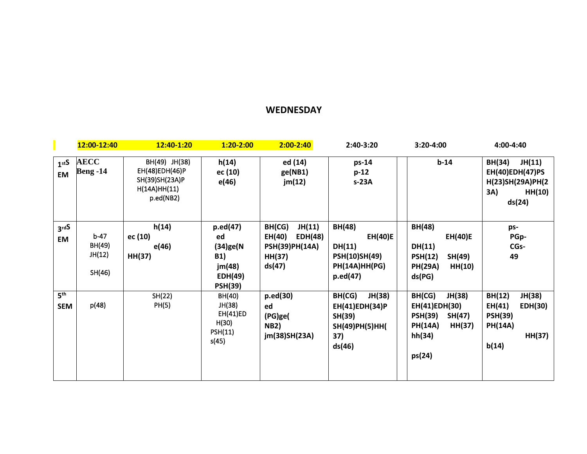#### **WEDNESDAY**

|                               | 12:00-12:40                          | 12:40-1:20                                                                     | $1:20 - 2:00$                                                                      | $2:00 - 2:40$                                                                      | 2:40-3:20                                                                                            | 3:20-4:00                                                                                                     | 4:00-4:40                                                                                    |
|-------------------------------|--------------------------------------|--------------------------------------------------------------------------------|------------------------------------------------------------------------------------|------------------------------------------------------------------------------------|------------------------------------------------------------------------------------------------------|---------------------------------------------------------------------------------------------------------------|----------------------------------------------------------------------------------------------|
| 1 <sup>stS</sup><br><b>EM</b> | <b>AECC</b><br><b>Beng -14</b>       | BH(49) JH(38)<br>EH(48)EDH(46)P<br>SH(39)SH(23A)P<br>H(14A)HH(11)<br>p.ed(NB2) | h(14)<br>ec (10)<br>e(46)                                                          | ed (14)<br>ge(NB1)<br>jm(12)                                                       | $ps-14$<br>$p-12$<br>$s-23A$                                                                         | $b-14$                                                                                                        | BH(34)<br>JH(11)<br>EH(40)EDH(47)PS<br>H(23)SH(29A)PH(2<br>3A)<br>HH(10)<br>ds(24)           |
| 3 <sup>rdS</sup><br><b>EM</b> | $b-47$<br>BH(49)<br>JH(12)<br>SH(46) | h(14)<br>ec (10)<br>e(46)<br>HH(37)                                            | p.ed(47)<br>ed<br>$(34)$ ge(N<br><b>B1)</b><br>jm(48)<br>EDH(49)<br><b>PSH(39)</b> | JH(11)<br>BH(CG)<br>EH(40)<br>EDH(48)<br><b>PSH(39)PH(14A)</b><br>HH(37)<br>ds(47) | <b>BH(48)</b><br><b>EH(40)E</b><br>DH(11)<br><b>PSH(10)SH(49)</b><br>PH(14A)HH(PG)<br>$p.$ ed $(47)$ | BH(48)<br><b>EH(40)E</b><br>DH(11)<br>SH(49)<br><b>PSH(12)</b><br><b>PH(29A)</b><br>HH(10)<br>ds(PG)          | ps-<br>PGp-<br>CGs-<br>49                                                                    |
| 5 <sup>th</sup><br><b>SEM</b> | p(48)                                | SH(22)<br>PH(5)                                                                | BH(40)<br>JH(38)<br>EH(41)ED<br>H(30)<br><b>PSH(11)</b><br>s(45)                   | $p.$ ed $(30)$<br>ed<br>(PG)ge(<br><b>NB2)</b><br>jm(38)SH(23A)                    | JH(38)<br>BH(CG)<br>EH(41)EDH(34)P<br>SH(39)<br>SH(49)PH(5)HH(<br>37)<br>ds(46)                      | JH(38)<br>BH(CG)<br>EH(41)EDH(30)<br><b>PSH(39)</b><br>SH(47)<br><b>PH(14A)</b><br>HH(37)<br>hh(34)<br>ps(24) | BH(12)<br>JH(38)<br>EH(41)<br>EDH(30)<br><b>PSH(39)</b><br><b>PH(14A)</b><br>HH(37)<br>b(14) |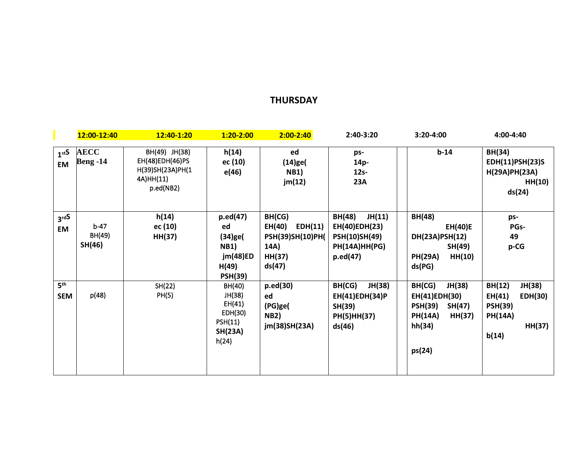## **THURSDAY**

|                                | 12:00-12:40                    | 12:40-1:20                                                                     | $1:20 - 2:00$                                                                         | $2:00 - 2:40$                                                                      | 2:40-3:20                                                                                           | 3:20-4:00                                                                                                     | 4:00-4:40                                                                                           |
|--------------------------------|--------------------------------|--------------------------------------------------------------------------------|---------------------------------------------------------------------------------------|------------------------------------------------------------------------------------|-----------------------------------------------------------------------------------------------------|---------------------------------------------------------------------------------------------------------------|-----------------------------------------------------------------------------------------------------|
| 1 <sub>st</sub> S<br><b>EM</b> | <b>AECC</b><br><b>Beng -14</b> | BH(49) JH(38)<br>EH(48)EDH(46)PS<br>H(39)SH(23A)PH(1<br>4A)HH(11)<br>p.ed(NB2) | h(14)<br>ec (10)<br>e(46)                                                             | ed<br>$(14)$ ge $($<br><b>NB1)</b><br>jm(12)                                       | ps-<br>14p-<br>$12s-$<br><b>23A</b>                                                                 | $b-14$                                                                                                        | BH(34)<br>EDH(11)PSH(23)S<br>H(29A)PH(23A)<br>HH(10)<br>ds(24)                                      |
| 3 <sup>rdS</sup><br>EM         | $b-47$<br>BH(49)<br>SH(46)     | h(14)<br>ec (10)<br>HH(37)                                                     | p.ed(47)<br>ed<br>$(34)$ ge $($<br><b>NB1)</b><br>jm(48)ED<br>H(49)<br><b>PSH(39)</b> | BH(CG)<br>EH(40)<br>EDH(11)<br><b>PSH(39)SH(10)PH(</b><br>14A)<br>HH(37)<br>ds(47) | JH(11)<br><b>BH(48)</b><br>EH(40)EDH(23)<br><b>PSH(10)SH(49)</b><br>PH(14A)HH(PG)<br>$p.$ ed $(47)$ | <b>BH(48)</b><br><b>EH(40)E</b><br>DH(23A)PSH(12)<br>SH(49)<br><b>PH(29A)</b><br>HH(10)<br>ds(PG)             | ps-<br>PGs-<br>49<br>p-CG                                                                           |
| 5 <sup>th</sup><br><b>SEM</b>  | p(48)                          | SH(22)<br>PH(5)                                                                | BH(40)<br>JH(38)<br>EH(41)<br>EDH(30)<br>PSH(11)<br><b>SH(23A)</b><br>h(24)           | $p.$ ed $(30)$<br>ed<br>(PG)ge(<br><b>NB2)</b><br>jm(38)SH(23A)                    | BH(CG)<br>JH(38)<br>EH(41)EDH(34)P<br>SH(39)<br>PH(5)HH(37)<br>ds(46)                               | JH(38)<br>BH(CG)<br>EH(41)EDH(30)<br><b>PSH(39)</b><br>SH(47)<br><b>PH(14A)</b><br>HH(37)<br>hh(34)<br>ps(24) | BH(12)<br>JH(38)<br>EH(41)<br><b>EDH(30)</b><br><b>PSH(39)</b><br><b>PH(14A)</b><br>HH(37)<br>b(14) |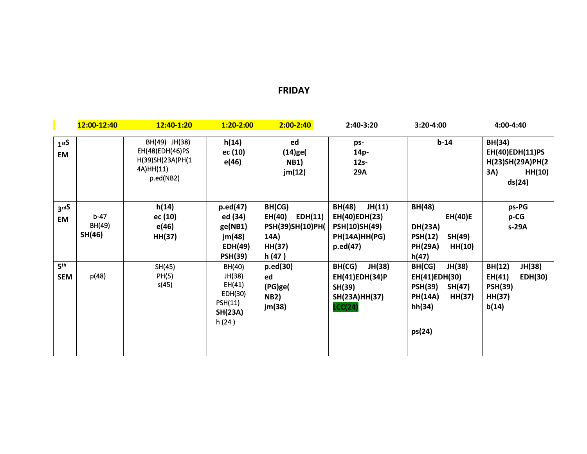#### **FRIDAY**

|                                | 12:00-12:40                | 12:40-1:20                                                                     | $1:20 - 2:00$                                                                | $2:00 - 2:40$                                                              | 2:40-3:20                                                                                    | 3:20-4:00                                                                                                     | 4:00-4:40                                                                         |
|--------------------------------|----------------------------|--------------------------------------------------------------------------------|------------------------------------------------------------------------------|----------------------------------------------------------------------------|----------------------------------------------------------------------------------------------|---------------------------------------------------------------------------------------------------------------|-----------------------------------------------------------------------------------|
| 1 <sub>st</sub> S<br><b>EM</b> |                            | BH(49) JH(38)<br>EH(48)EDH(46)PS<br>H(39)SH(23A)PH(1<br>4A)HH(11)<br>p.ed(NB2) | h(14)<br>ec (10)<br>e(46)                                                    | ed<br>$(14)$ ge $($<br><b>NB1)</b><br>jm(12)                               | ps-<br>14p-<br>$12s-$<br><b>29A</b>                                                          | $b-14$                                                                                                        | <b>BH(34)</b><br>EH(40)EDH(11)PS<br>H(23)SH(29A)PH(2<br>HH(10)<br>3A)<br>ds(24)   |
| 3 <sup>rdS</sup><br><b>EM</b>  | $b-47$<br>BH(49)<br>SH(46) | h(14)<br>ec (10)<br>e(46)<br>HH(37)                                            | p.ed(47)<br>ed (34)<br>ge(NB1)<br>jm(48)<br><b>EDH(49)</b><br><b>PSH(39)</b> | BH(CG)<br>EH(40)<br>EDH(11)<br>PSH(39)SH(10)PH(<br>14A)<br>HH(37)<br>h(47) | BH(48)<br>JH(11)<br>EH(40)EDH(23)<br><b>PSH(10)SH(49)</b><br>PH(14A)HH(PG)<br>$p.$ ed $(47)$ | <b>BH(48)</b><br>EH(40)E<br><b>DH(23A)</b><br>SH(49)<br><b>PSH(12)</b><br><b>PH(29A)</b><br>HH(10)<br>h(47)   | ps-PG<br>p-CG<br>s-29A                                                            |
| 5 <sup>th</sup><br><b>SEM</b>  | p(48)                      | SH(45)<br>PH(5)<br>s(45)                                                       | BH(40)<br>JH(38)<br>EH(41)<br>EDH(30)<br>PSH(11)<br><b>SH(23A)</b><br>h(24)  | $p.$ ed $(30)$<br>ed<br>(PG)ge(<br><b>NB2)</b><br>jm(38)                   | JH(38)<br>BH(CG)<br>EH(41)EDH(34)P<br>SH(39)<br>SH(23A)HH(37)<br><b>LCC(24)</b>              | JH(38)<br>BH(CG)<br>EH(41)EDH(30)<br><b>PSH(39)</b><br>SH(47)<br><b>PH(14A)</b><br>HH(37)<br>hh(34)<br>ps(24) | BH(12)<br>JH(38)<br>EH(41)<br><b>EDH(30)</b><br><b>PSH(39)</b><br>HH(37)<br>b(14) |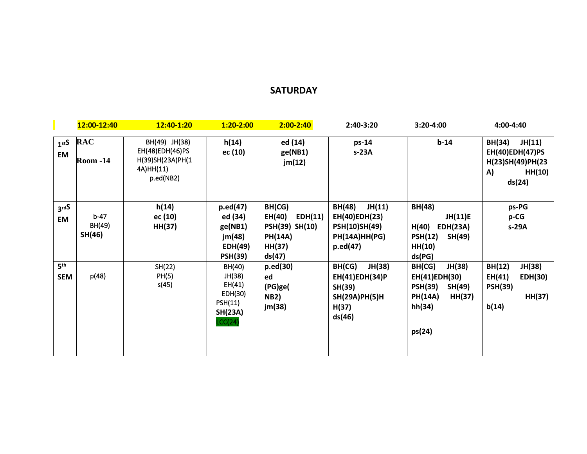## **SATURDAY**

|                                | 12:00-12:40                   | 12:40-1:20                                                                     | $1:20 - 2:00$                                                                        | $2:00 - 2:40$                                                                       | 2:40-3:20                                                                                           | 3:20-4:00                                                                                                     | 4:00-4:40                                                                                |
|--------------------------------|-------------------------------|--------------------------------------------------------------------------------|--------------------------------------------------------------------------------------|-------------------------------------------------------------------------------------|-----------------------------------------------------------------------------------------------------|---------------------------------------------------------------------------------------------------------------|------------------------------------------------------------------------------------------|
| 1 <sub>st</sub> S<br><b>EM</b> | <b>RAC</b><br><b>Room -14</b> | BH(49) JH(38)<br>EH(48)EDH(46)PS<br>H(39)SH(23A)PH(1<br>4A)HH(11)<br>p.ed(NB2) | h(14)<br>ec (10)                                                                     | ed (14)<br>ge(NB1)<br>jm(12)                                                        | ps-14<br>$s-23A$                                                                                    | $b-14$                                                                                                        | <b>BH(34)</b><br>JH(11)<br>EH(40)EDH(47)PS<br>H(23)SH(49)PH(23<br>HH(10)<br>A)<br>ds(24) |
| 3 <sup>rdS</sup><br>EM         | $b-47$<br>BH(49)<br>SH(46)    | h(14)<br>ec (10)<br>HH(37)                                                     | $p.$ ed $(47)$<br>ed (34)<br>ge(NB1)<br>jm(48)<br><b>EDH(49)</b><br><b>PSH(39)</b>   | BH(CG)<br>EH(40)<br>EDH(11)<br>PSH(39) SH(10)<br><b>PH(14A)</b><br>HH(37)<br>ds(47) | JH(11)<br><b>BH(48)</b><br>EH(40)EDH(23)<br><b>PSH(10)SH(49)</b><br>PH(14A)HH(PG)<br>$p.$ ed $(47)$ | BH(48)<br>JH(11)E<br>H(40)<br><b>EDH(23A)</b><br>SH(49)<br><b>PSH(12)</b><br>HH(10)<br>ds(PG)                 | ps-PG<br>p-CG<br>s-29A                                                                   |
| 5 <sup>th</sup><br><b>SEM</b>  | p(48)                         | SH(22)<br>PH(5)<br>s(45)                                                       | BH(40)<br>JH(38)<br>EH(41)<br>EDH(30)<br><b>PSH(11)</b><br><b>SH(23A)</b><br>LCC(24) | $p.$ ed $(30)$<br>ed<br>(PG)ge(<br><b>NB2)</b><br>jm(38)                            | JH(38)<br>BH(CG)<br>EH(41)EDH(34)P<br>SH(39)<br><b>SH(29A)PH(5)H</b><br>H(37)<br>ds(46)             | BH(CG)<br>JH(38)<br>EH(41)EDH(30)<br><b>PSH(39)</b><br>SH(49)<br><b>PH(14A)</b><br>HH(37)<br>hh(34)<br>ps(24) | JH(38)<br>BH(12)<br>EH(41)<br>EDH(30)<br><b>PSH(39)</b><br>HH(37)<br>b(14)               |